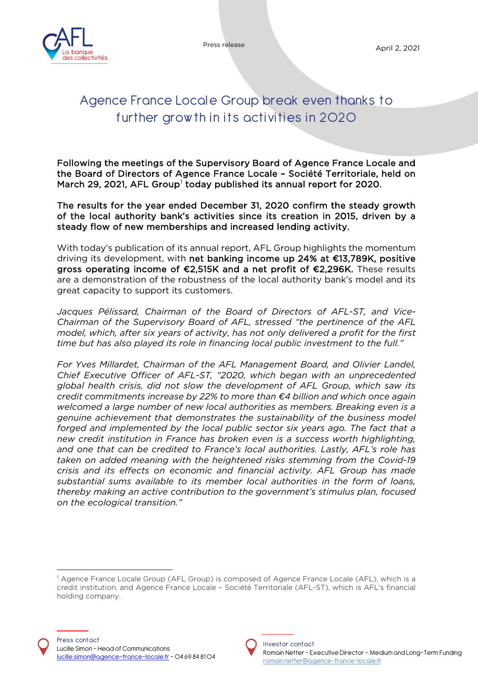

Press release April 2, 2021

# Agence France Locale Group break even thanks to further grow th in its activities in 2020

Following the meetings of the Supervisory Board of Agence France Locale and the Board of Directors of Agence France Locale – Société Territoriale, held on March 29, 202[1](#page-0-0), AFL Group<sup>1</sup> today published its annual report for 2020.

The results for the year ended December 31, 2020 confirm the steady growth of the local authority bank's activities since its creation in 2015, driven by a steady flow of new memberships and increased lending activity.

With today's publication of its annual report, AFL Group highlights the momentum driving its development, with net banking income up 24% at €13,789K, positive gross operating income of €2,515K and a net profit of €2,296K. These results are a demonstration of the robustness of the local authority bank's model and its great capacity to support its customers.

*Jacques Pélissard, Chairman of the Board of Directors of AFL-ST, and Vice-Chairman of the Supervisory Board of AFL, stressed "the pertinence of the AFL model, which, after six years of activity, has not only delivered a profit for the first time but has also played its role in financing local public investment to the full."* 

*For Yves Millardet, Chairman of the AFL Management Board, and Olivier Landel, Chief Executive Officer of AFL-ST, "2020, which began with an unprecedented global health crisis, did not slow the development of AFL Group, which saw its credit commitments increase by 22% to more than €4 billion and which once again welcomed a large number of new local authorities as members. Breaking even is a genuine achievement that demonstrates the sustainability of the business model forged and implemented by the local public sector six years ago. The fact that a new credit institution in France has broken even is a success worth highlighting, and one that can be credited to France's local authorities. Lastly, AFL's role has taken on added meaning with the heightened risks stemming from the Covid-19 crisis and its effects on economic and financial activity. AFL Group has made substantial sums available to its member local authorities in the form of loans, thereby making an active contribution to the government's stimulus plan, focused on the ecological transition."*



<span id="page-0-0"></span><sup>&</sup>lt;sup>1</sup> Agence France Locale Group (AFL Group) is composed of Agence France Locale (AFL), which is a credit institution, and Agence France Locale – Société Territoriale (AFL-ST), which is AFL's financial holding company.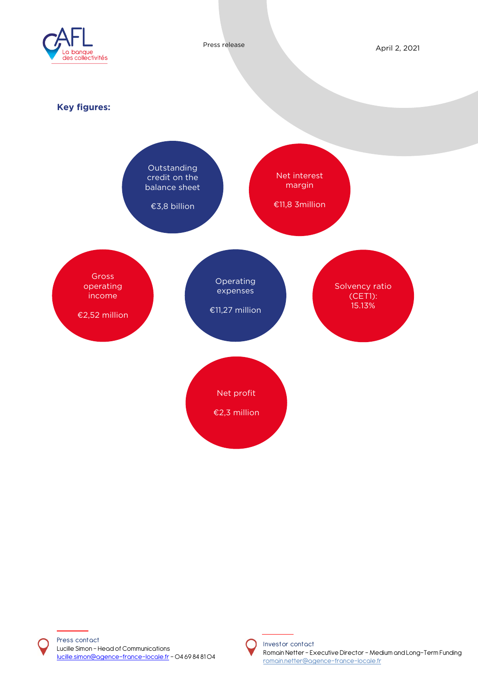



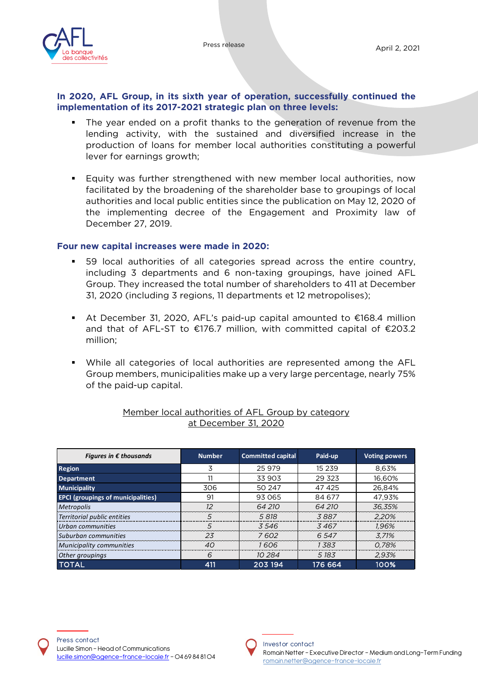

#### **In 2020, AFL Group, in its sixth year of operation, successfully continued the implementation of its 2017-2021 strategic plan on three levels:**

- The year ended on a profit thanks to the generation of revenue from the lending activity, with the sustained and diversified increase in the production of loans for member local authorities constituting a powerful lever for earnings growth;
- Equity was further strengthened with new member local authorities, now facilitated by the broadening of the shareholder base to groupings of local authorities and local public entities since the publication on May 12, 2020 of the implementing decree of the Engagement and Proximity law of December 27, 2019.

#### **Four new capital increases were made in 2020:**

- 59 local authorities of all categories spread across the entire country, including 3 departments and 6 non-taxing groupings, have joined AFL Group. They increased the total number of shareholders to 411 at December 31, 2020 (including 3 regions, 11 departments et 12 metropolises);
- At December 31, 2020, AFL's paid-up capital amounted to €168.4 million and that of AFL-ST to €176.7 million, with committed capital of €203.2 million;
- While all categories of local authorities are represented among the AFL Group members, municipalities make up a very large percentage, nearly 75% of the paid-up capital.

| Figures in $\epsilon$ thousands           | <b>Number</b> | <b>Committed capital</b> | Paid-up  | <b>Voting powers</b> |
|-------------------------------------------|---------------|--------------------------|----------|----------------------|
| <b>Region</b>                             | 3             | 25 979                   | 15 2 3 9 | 8.63%                |
| <b>Department</b>                         | 11            | 33 903                   | 29 3 23  | 16.60%               |
| <b>Municipality</b>                       | 306           | 50 247                   | 47 425   | 26.84%               |
| <b>EPCI (groupings of municipalities)</b> | 91            | 93 065                   | 84 677   | 47.93%               |
| Metropolis                                | $12^{1}$      | 64 210                   | 64 210   | 36,35%               |
| Territorial public entities               | 5             | 5 818                    | 3887     | 2.20%                |
| Urban communities                         | 5             | 3546                     | 3467     | 1.96%                |
| Suburban communities                      | 23            | 7602                     | 6 5 4 7  | 3.71%                |
| Municipality communities                  | 40            | 1606                     | 1.38.3   | 0.78%                |
| Other groupings                           | 6             | 10 284                   | 5 183    | 2.93%                |
| <b>TOTAL</b>                              | 411           | 203 194                  | 176 664  | 100%                 |

#### Member local authorities of AFL Group by category at December 31, 2020

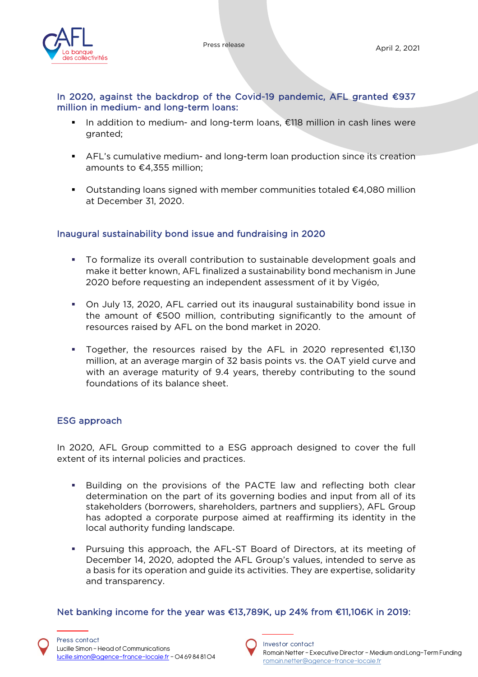

### In 2020, against the backdrop of the Covid-19 pandemic, AFL granted €937 million in medium- and long-term loans:

- In addition to medium- and long-term loans, €118 million in cash lines were granted;
- AFL's cumulative medium- and long-term loan production since its creation amounts to €4,355 million;
- Outstanding loans signed with member communities totaled  $€4,080$  million at December 31, 2020.

# Inaugural sustainability bond issue and fundraising in 2020

- To formalize its overall contribution to sustainable development goals and make it better known, AFL finalized a sustainability bond mechanism in June 2020 before requesting an independent assessment of it by Vigéo,
- On July 13, 2020, AFL carried out its inaugural sustainability bond issue in the amount of €500 million, contributing significantly to the amount of resources raised by AFL on the bond market in 2020.
- Together, the resources raised by the AFL in 2020 represented  $€1,130$ million, at an average margin of 32 basis points vs. the OAT yield curve and with an average maturity of 9.4 years, thereby contributing to the sound foundations of its balance sheet.

# ESG approach

In 2020, AFL Group committed to a ESG approach designed to cover the full extent of its internal policies and practices.

- Building on the provisions of the PACTE law and reflecting both clear determination on the part of its governing bodies and input from all of its stakeholders (borrowers, shareholders, partners and suppliers), AFL Group has adopted a corporate purpose aimed at reaffirming its identity in the local authority funding landscape.
- Pursuing this approach, the AFL-ST Board of Directors, at its meeting of December 14, 2020, adopted the AFL Group's values, intended to serve as a basis for its operation and guide its activities. They are expertise, solidarity and transparency.

# Net banking income for the year was €13,789K, up 24% from €11,106K in 2019:

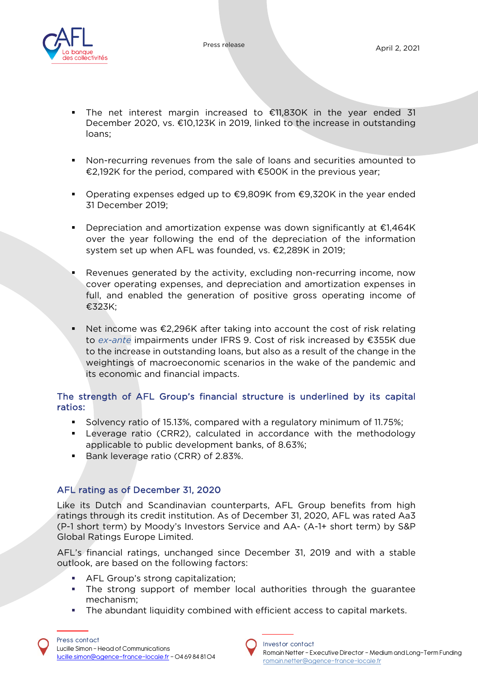



- The net interest margin increased to €11,830K in the year ended 31 December 2020, vs. €10,123K in 2019, linked to the increase in outstanding loans;
- Non-recurring revenues from the sale of loans and securities amounted to €2,192K for the period, compared with €500K in the previous year;
- Operating expenses edged up to  $€9,809K$  from  $€9,320K$  in the year ended 31 December 2019;
- Depreciation and amortization expense was down significantly at €1,464K over the year following the end of the depreciation of the information system set up when AFL was founded, vs. €2,289K in 2019;
- Revenues generated by the activity, excluding non-recurring income, now cover operating expenses, and depreciation and amortization expenses in full, and enabled the generation of positive gross operating income of €323K;
- Net income was €2,296K after taking into account the cost of risk relating to *ex-ante* impairments under IFRS 9. Cost of risk increased by €355K due to the increase in outstanding loans, but also as a result of the change in the weightings of macroeconomic scenarios in the wake of the pandemic and its economic and financial impacts.

### The strength of AFL Group's financial structure is underlined by its capital ratios:

- Solvency ratio of 15.13%, compared with a regulatory minimum of 11.75%;
- Leverage ratio (CRR2), calculated in accordance with the methodology applicable to public development banks, of 8.63%;
- Bank leverage ratio (CRR) of 2.83%.

# AFL rating as of December 31, 2020

Like its Dutch and Scandinavian counterparts, AFL Group benefits from high ratings through its credit institution. As of December 31, 2020, AFL was rated Aa3 (P-1 short term) by Moody's Investors Service and AA- (A-1+ short term) by S&P Global Ratings Europe Limited.

AFL's financial ratings, unchanged since December 31, 2019 and with a stable outlook, are based on the following factors:

- **AFL Group's strong capitalization;**
- The strong support of member local authorities through the guarantee mechanism;
- The abundant liquidity combined with efficient access to capital markets.

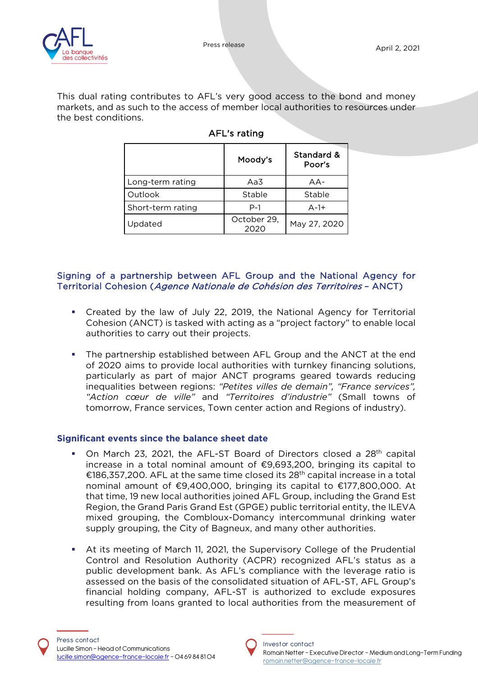

This dual rating contributes to AFL's very good access to the bond and money markets, and as such to the access of member local authorities to resources under the best conditions.

|                   | Moody's             | Standard &<br>Poor's |
|-------------------|---------------------|----------------------|
| Long-term rating  | Aa3                 | $AA -$               |
| Outlook           | Stable              | Stable               |
| Short-term rating | $P-1$               | $A-1+$               |
| Updated           | October 29,<br>2020 | May 27, 2020         |

### AFL's rating

#### Signing of a partnership between AFL Group and the National Agency for Territorial Cohesion (Agence Nationale de Cohésion des Territoires – ANCT)

- Created by the law of July 22, 2019, the National Agency for Territorial Cohesion (ANCT) is tasked with acting as a "project factory" to enable local authorities to carry out their projects.
- The partnership established between AFL Group and the ANCT at the end of 2020 aims to provide local authorities with turnkey financing solutions, particularly as part of major ANCT programs geared towards reducing inequalities between regions: *"Petites villes de demain", "France services", "Action cœur de ville"* and *"Territoires d'industrie"* (Small towns of tomorrow, France services, Town center action and Regions of industry).

### **Significant events since the balance sheet date**

- On March 23, 2021, the AFL-ST Board of Directors closed a 28th capital increase in a total nominal amount of €9,693,200, bringing its capital to €186,357,200. AFL at the same time closed its  $28<sup>th</sup>$  capital increase in a total nominal amount of €9,400,000, bringing its capital to €177,800,000. At that time, 19 new local authorities joined AFL Group, including the Grand Est Region, the Grand Paris Grand Est (GPGE) public territorial entity, the ILEVA mixed grouping, the Combloux-Domancy intercommunal drinking water supply grouping, the City of Bagneux, and many other authorities.
- At its meeting of March 11, 2021, the Supervisory College of the Prudential Control and Resolution Authority (ACPR) recognized AFL's status as a public development bank. As AFL's compliance with the leverage ratio is assessed on the basis of the consolidated situation of AFL-ST, AFL Group's financial holding company, AFL-ST is authorized to exclude exposures resulting from loans granted to local authorities from the measurement of

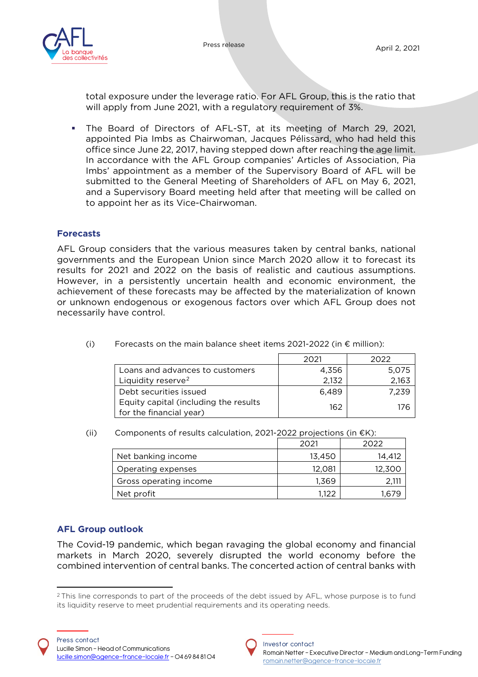

total exposure under the leverage ratio. For AFL Group, this is the ratio that will apply from June 2021, with a regulatory requirement of 3%.

 The Board of Directors of AFL-ST, at its meeting of March 29, 2021, appointed Pia Imbs as Chairwoman, Jacques Pélissard, who had held this office since June 22, 2017, having stepped down after reaching the age limit. In accordance with the AFL Group companies' Articles of Association, Pia Imbs' appointment as a member of the Supervisory Board of AFL will be submitted to the General Meeting of Shareholders of AFL on May 6, 2021, and a Supervisory Board meeting held after that meeting will be called on to appoint her as its Vice-Chairwoman.

#### **Forecasts**

AFL Group considers that the various measures taken by central banks, national governments and the European Union since March 2020 allow it to forecast its results for 2021 and 2022 on the basis of realistic and cautious assumptions. However, in a persistently uncertain health and economic environment, the achievement of these forecasts may be affected by the materialization of known or unknown endogenous or exogenous factors over which AFL Group does not necessarily have control.

|                                                                  | 2021  | 2022  |
|------------------------------------------------------------------|-------|-------|
| Loans and advances to customers                                  | 4.356 | 5.075 |
| Liquidity reserve <sup>2</sup>                                   | 2.132 | 2.163 |
| Debt securities issued                                           | 6.489 | 7.239 |
| Equity capital (including the results<br>for the financial year) | 162   | 176   |

(i) Forecasts on the main balance sheet items 2021-2022 (in  $\epsilon$  million):

(ii) Components of results calculation, 2021-2022 projections (in  $E(K)$ :

|                        | 2021   | 2022       |
|------------------------|--------|------------|
| Net banking income     | 13.450 | 14.412     |
| Operating expenses     | 12.081 | 12,300     |
| Gross operating income | 1.369  |            |
| Net profit             | 1.122  | $\cdot$ 6. |

### **AFL Group outlook**

The Covid-19 pandemic, which began ravaging the global economy and financial markets in March 2020, severely disrupted the world economy before the combined intervention of central banks. The concerted action of central banks with



<span id="page-6-0"></span><sup>&</sup>lt;sup>2</sup> This line corresponds to part of the proceeds of the debt issued by AFL, whose purpose is to fund its liquidity reserve to meet prudential requirements and its operating needs.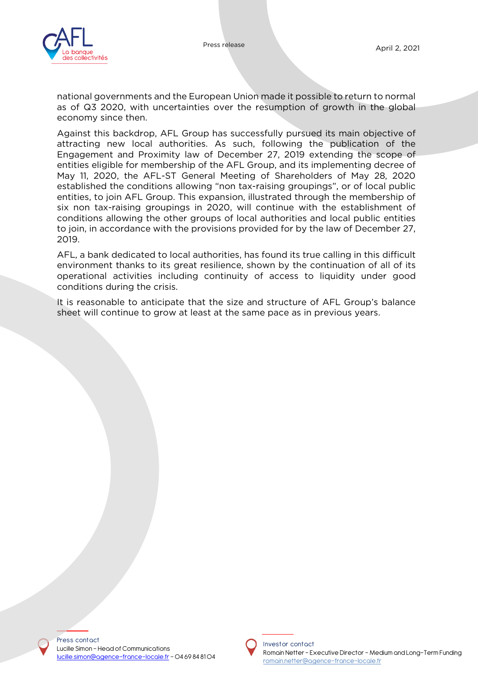national governments and the European Union made it possible to return to normal as of Q3 2020, with uncertainties over the resumption of growth in the global economy since then.

Against this backdrop, AFL Group has successfully pursued its main objective of attracting new local authorities. As such, following the publication of the Engagement and Proximity law of December 27, 2019 extending the scope of entities eligible for membership of the AFL Group, and its implementing decree of May 11, 2020, the AFL-ST General Meeting of Shareholders of May 28, 2020 established the conditions allowing "non tax-raising groupings", or of local public entities, to join AFL Group. This expansion, illustrated through the membership of six non tax-raising groupings in 2020, will continue with the establishment of conditions allowing the other groups of local authorities and local public entities to join, in accordance with the provisions provided for by the law of December 27, 2019.

AFL, a bank dedicated to local authorities, has found its true calling in this difficult environment thanks to its great resilience, shown by the continuation of all of its operational activities including continuity of access to liquidity under good conditions during the crisis.

It is reasonable to anticipate that the size and structure of AFL Group's balance sheet will continue to grow at least at the same pace as in previous years.

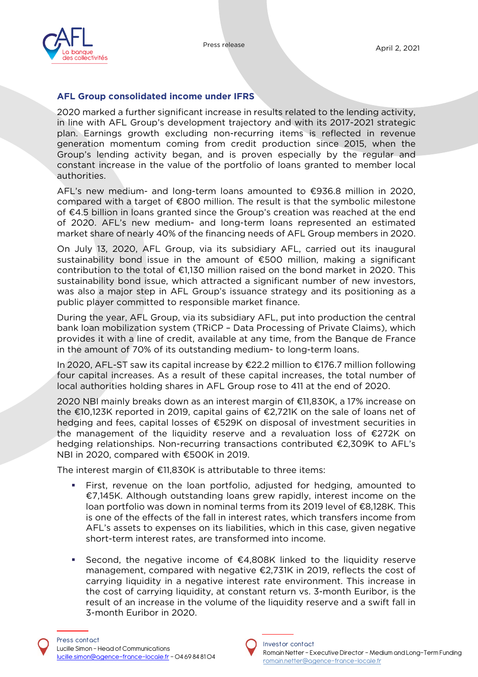

#### **AFL Group consolidated income under IFRS**

2020 marked a further significant increase in results related to the lending activity, in line with AFL Group's development trajectory and with its 2017-2021 strategic plan. Earnings growth excluding non-recurring items is reflected in revenue generation momentum coming from credit production since 2015, when the Group's lending activity began, and is proven especially by the regular and constant increase in the value of the portfolio of loans granted to member local authorities.

AFL's new medium- and long-term loans amounted to €936.8 million in 2020, compared with a target of €800 million. The result is that the symbolic milestone of €4.5 billion in loans granted since the Group's creation was reached at the end of 2020. AFL's new medium- and long-term loans represented an estimated market share of nearly 40% of the financing needs of AFL Group members in 2020.

On July 13, 2020, AFL Group, via its subsidiary AFL, carried out its inaugural sustainability bond issue in the amount of €500 million, making a significant contribution to the total of €1,130 million raised on the bond market in 2020. This sustainability bond issue, which attracted a significant number of new investors, was also a major step in AFL Group's issuance strategy and its positioning as a public player committed to responsible market finance.

During the year, AFL Group, via its subsidiary AFL, put into production the central bank loan mobilization system (TRiCP – Data Processing of Private Claims), which provides it with a line of credit, available at any time, from the Banque de France in the amount of 70% of its outstanding medium- to long-term loans.

In 2020, AFL-ST saw its capital increase by €22.2 million to €176.7 million following four capital increases. As a result of these capital increases, the total number of local authorities holding shares in AFL Group rose to 411 at the end of 2020.

2020 NBI mainly breaks down as an interest margin of €11,830K, a 17% increase on the €10,123K reported in 2019, capital gains of €2,721K on the sale of loans net of hedging and fees, capital losses of €529K on disposal of investment securities in the management of the liquidity reserve and a revaluation loss of €272K on hedging relationships. Non-recurring transactions contributed €2,309K to AFL's NBI in 2020, compared with €500K in 2019.

The interest margin of €11,830K is attributable to three items:

- First, revenue on the loan portfolio, adjusted for hedging, amounted to €7,145K. Although outstanding loans grew rapidly, interest income on the loan portfolio was down in nominal terms from its 2019 level of €8,128K. This is one of the effects of the fall in interest rates, which transfers income from AFL's assets to expenses on its liabilities, which in this case, given negative short-term interest rates, are transformed into income.
- Second, the negative income of  $€4,808K$  linked to the liquidity reserve management, compared with negative €2,731K in 2019, reflects the cost of carrying liquidity in a negative interest rate environment. This increase in the cost of carrying liquidity, at constant return vs. 3-month Euribor, is the result of an increase in the volume of the liquidity reserve and a swift fall in 3-month Euribor in 2020.

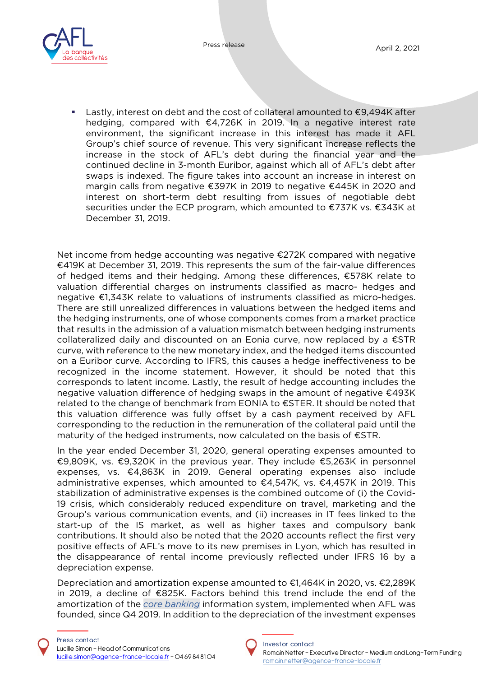

■ Lastly, interest on debt and the cost of collateral amounted to €9,494K after hedging, compared with €4,726K in 2019. In a negative interest rate environment, the significant increase in this interest has made it AFL Group's chief source of revenue. This very significant increase reflects the increase in the stock of AFL's debt during the financial year and the continued decline in 3-month Euribor, against which all of AFL's debt after swaps is indexed. The figure takes into account an increase in interest on margin calls from negative €397K in 2019 to negative €445K in 2020 and interest on short-term debt resulting from issues of negotiable debt securities under the ECP program, which amounted to €737K vs. €343K at December 31, 2019.

Net income from hedge accounting was negative €272K compared with negative €419K at December 31, 2019. This represents the sum of the fair-value differences of hedged items and their hedging. Among these differences, €578K relate to valuation differential charges on instruments classified as macro- hedges and negative €1,343K relate to valuations of instruments classified as micro-hedges. There are still unrealized differences in valuations between the hedged items and the hedging instruments, one of whose components comes from a market practice that results in the admission of a valuation mismatch between hedging instruments collateralized daily and discounted on an Eonia curve, now replaced by a €STR curve, with reference to the new monetary index, and the hedged items discounted on a Euribor curve. According to IFRS, this causes a hedge ineffectiveness to be recognized in the income statement. However, it should be noted that this corresponds to latent income. Lastly, the result of hedge accounting includes the negative valuation difference of hedging swaps in the amount of negative €493K related to the change of benchmark from EONIA to €STER. It should be noted that this valuation difference was fully offset by a cash payment received by AFL corresponding to the reduction in the remuneration of the collateral paid until the maturity of the hedged instruments, now calculated on the basis of  $\epsilon$ STR.

In the year ended December 31, 2020, general operating expenses amounted to €9,809K, vs. €9,320K in the previous year. They include €5,263K in personnel expenses, vs. €4,863K in 2019. General operating expenses also include administrative expenses, which amounted to €4,547K, vs. €4,457K in 2019. This stabilization of administrative expenses is the combined outcome of (i) the Covid-19 crisis, which considerably reduced expenditure on travel, marketing and the Group's various communication events, and (ii) increases in IT fees linked to the start-up of the IS market, as well as higher taxes and compulsory bank contributions. It should also be noted that the 2020 accounts reflect the first very positive effects of AFL's move to its new premises in Lyon, which has resulted in the disappearance of rental income previously reflected under IFRS 16 by a depreciation expense.

Depreciation and amortization expense amounted to €1,464K in 2020, vs. €2,289K in 2019, a decline of €825K. Factors behind this trend include the end of the amortization of the *core banking* information system, implemented when AFL was founded, since Q4 2019. In addition to the depreciation of the investment expenses

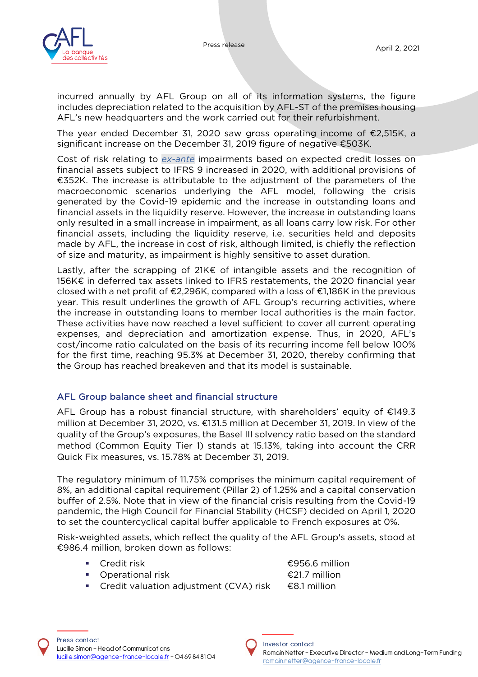

incurred annually by AFL Group on all of its information systems, the figure includes depreciation related to the acquisition by AFL-ST of the premises housing AFL's new headquarters and the work carried out for their refurbishment.

The year ended December 31, 2020 saw gross operating income of €2,515K, a significant increase on the December 31, 2019 figure of negative €503K.

Cost of risk relating to *ex-ante* impairments based on expected credit losses on financial assets subject to IFRS 9 increased in 2020, with additional provisions of €352K. The increase is attributable to the adjustment of the parameters of the macroeconomic scenarios underlying the AFL model, following the crisis generated by the Covid-19 epidemic and the increase in outstanding loans and financial assets in the liquidity reserve. However, the increase in outstanding loans only resulted in a small increase in impairment, as all loans carry low risk. For other financial assets, including the liquidity reserve, i.e. securities held and deposits made by AFL, the increase in cost of risk, although limited, is chiefly the reflection of size and maturity, as impairment is highly sensitive to asset duration.

Lastly, after the scrapping of 21K€ of intangible assets and the recognition of 156K€ in deferred tax assets linked to IFRS restatements, the 2020 financial year closed with a net profit of  $\epsilon$ 2,296K, compared with a loss of  $\epsilon$ 1,186K in the previous year. This result underlines the growth of AFL Group's recurring activities, where the increase in outstanding loans to member local authorities is the main factor. These activities have now reached a level sufficient to cover all current operating expenses, and depreciation and amortization expense. Thus, in 2020, AFL's cost/income ratio calculated on the basis of its recurring income fell below 100% for the first time, reaching 95.3% at December 31, 2020, thereby confirming that the Group has reached breakeven and that its model is sustainable.

### AFL Group balance sheet and financial structure

AFL Group has a robust financial structure, with shareholders' equity of €149.3 million at December 31, 2020, vs. €131.5 million at December 31, 2019. In view of the quality of the Group's exposures, the Basel III solvency ratio based on the standard method (Common Equity Tier 1) stands at 15.13%, taking into account the CRR Quick Fix measures, vs. 15.78% at December 31, 2019.

The regulatory minimum of 11.75% comprises the minimum capital requirement of 8%, an additional capital requirement (Pillar 2) of 1.25% and a capital conservation buffer of 2.5%. Note that in view of the financial crisis resulting from the Covid-19 pandemic, the High Council for Financial Stability (HCSF) decided on April 1, 2020 to set the countercyclical capital buffer applicable to French exposures at 0%.

Risk-weighted assets, which reflect the quality of the AFL Group's assets, stood at €986.4 million, broken down as follows:

- 
- Operational risk **E21.7 million**

■ Credit risk  $\epsilon$ 956.6 million

■ Credit valuation adjustment (CVA) risk  $€8.1$  million

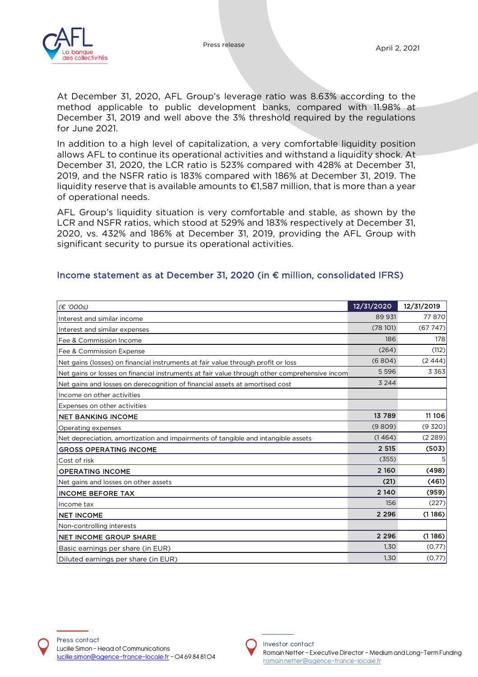

At December 31, 2020, AFL Group's leverage ratio was 8.63% according to the method applicable to public development banks, compared with 11.98% at December 31, 2019 and well above the 3% threshold required by the regulations for June 2021.

In addition to a high level of capitalization, a very comfortable liquidity position allows AFL to continue its operational activities and withstand a liquidity shock. At December 31, 2020, the LCR ratio is 523% compared with 428% at December 31, 2019, and the NSFR ratio is 183% compared with 186% at December 31, 2019. The liquidity reserve that is available amounts to €1,587 million, that is more than a year of operational needs.

AFL Group's liquidity situation is very comfortable and stable, as shown by the LCR and NSFR ratios, which stood at 529% and 183% respectively at December 31, 2020, vs. 432% and 186% at December 31, 2019, providing the AFL Group with significant security to pursue its operational activities.

| (€ '000s)                                                                                    | 12/31/2020 | 12/31/2019     |
|----------------------------------------------------------------------------------------------|------------|----------------|
| Interest and similar income                                                                  | 89 931     | 77870          |
| Interest and similar expenses                                                                | (78101)    | (67747)        |
| Fee & Commission Income                                                                      | 186        | 178            |
| Fee & Commission Expense                                                                     | (264)      | (112)          |
| Net gains (losses) on financial instruments at fair value through profit or loss             | (6804)     | (2444)         |
| Net gains or losses on financial instruments at fair value through other comprehensive incom | 5 5 9 6    | 3 3 6 3        |
| Net gains and losses on derecognition of financial assets at amortised cost                  | 3 2 4 4    |                |
| Income on other activities                                                                   |            |                |
| Expenses on other activities                                                                 |            |                |
| <b>NET BANKING INCOME</b>                                                                    | 13 789     | 11 106         |
| Operating expenses                                                                           | (9809)     | (9 320)        |
| Net depreciation, amortization and impairments of tangible and intangible assets             | (1464)     | (2 289)        |
| <b>GROSS OPERATING INCOME</b>                                                                | 2 5 1 5    | (503)          |
| Cost of risk                                                                                 | (355)      | 5 <sup>1</sup> |
| <b>OPERATING INCOME</b>                                                                      | 2 1 6 0    | (498)          |
| Net gains and losses on other assets                                                         | (21)       | (461)          |
| <b>INCOME BEFORE TAX</b>                                                                     | 2 1 4 0    | (959)          |
| Income tax                                                                                   | 156        | (227)          |
| <b>NET INCOME</b>                                                                            | 2 2 9 6    | (1186)         |
| Non-controlling interests                                                                    |            |                |
| <b>NET INCOME GROUP SHARE</b>                                                                | 2 2 9 6    | (1186)         |
| Basic earnings per share (in EUR)                                                            | 1,30       | (0,77)         |
| Diluted earnings per share (in EUR)                                                          | 1,30       | (0,77)         |

#### Income statement as at December 31, 2020 (in € million, consolidated IFRS)



#### I nvest or contact

Romain Netter – Executive Director – Medium and Long-Term Funding romain.netter@agence-france-locale.fr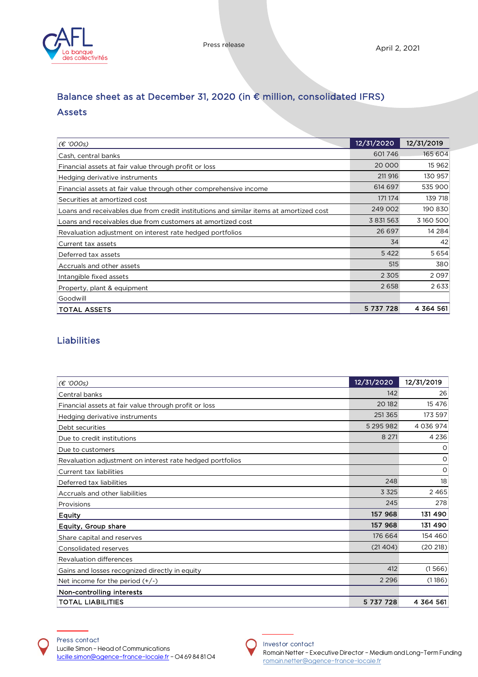

# Balance sheet as at December 31, 2020 (in € million, consolidated IFRS) Assets

| (E'000s)                                                                               | 12/31/2020 | 12/31/2019 |
|----------------------------------------------------------------------------------------|------------|------------|
| Cash, central banks                                                                    | 601746     | 165 604    |
| Financial assets at fair value through profit or loss                                  | 20 000     | 15 9 62    |
| Hedging derivative instruments                                                         | 211 916    | 130 957    |
| Financial assets at fair value through other comprehensive income                      | 614 697    | 535 900    |
| Securities at amortized cost                                                           | 171 174    | 139 718    |
| Loans and receivables due from credit institutions and similar items at amortized cost | 249 002    | 190 830    |
| Loans and receivables due from customers at amortized cost                             | 3 831 563  | 3 160 500  |
| Revaluation adjustment on interest rate hedged portfolios                              | 26 697     | 14 2 8 4   |
| Current tax assets                                                                     | 34         | 42         |
| Deferred tax assets                                                                    | 5 4 2 2    | 5654       |
| Accruals and other assets                                                              | 515        | 380        |
| Intangible fixed assets                                                                | 2 3 0 5    | 2097       |
| Property, plant & equipment                                                            | 2658       | 2633       |
| Goodwill                                                                               |            |            |
| <b>TOTAL ASSETS</b>                                                                    | 5 737 728  | 4 364 561  |

# Liabilities

| (€ '000s)                                                 | 12/31/2020 | 12/31/2019  |
|-----------------------------------------------------------|------------|-------------|
| Central banks                                             | 142        | 26          |
| Financial assets at fair value through profit or loss     | 20 18 2    | 15 4 7 6    |
| Hedging derivative instruments                            | 251 365    | 173 597     |
| Debt securities                                           | 5 295 982  | 4 0 36 9 74 |
| Due to credit institutions                                | 8 2 7 1    | 4 2 3 6     |
| Due to customers                                          |            | O           |
| Revaluation adjustment on interest rate hedged portfolios |            | O           |
| Current tax liabilities                                   |            | O           |
| Deferred tax liabilities                                  | 248        | 18          |
| Accruals and other liabilities                            | 3 3 2 5    | 2465        |
| Provisions                                                | 245        | 278         |
| Equity                                                    | 157 968    | 131 490     |
| Equity, Group share                                       | 157 968    | 131 490     |
| Share capital and reserves                                | 176 664    | 154 460     |
| Consolidated reserves                                     | (21404)    | (20 218)    |
| <b>Revaluation differences</b>                            |            |             |
| Gains and losses recognized directly in equity            | 412        | (1566)      |
| Net income for the period $(+/-)$                         | 2 2 9 6    | (1186)      |
| Non-controlling interests                                 |            |             |
| <b>TOTAL LIABILITIES</b>                                  | 5 737 728  | 4 364 561   |



#### Investor contact

Romain Netter – Executive Director – Medium and Long-Term Funding romain.netter@agence-france-locale.fr